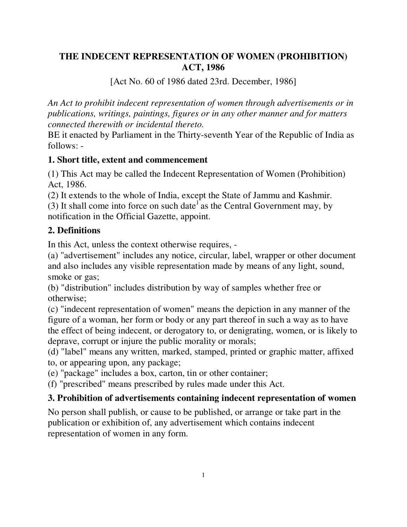## **THE INDECENT REPRESENTATION OF WOMEN (PROHIBITION) ACT, 1986**

[Act No. 60 of 1986 dated 23rd. December, 1986]

*An Act to prohibit indecent representation of women through advertisements or in publications, writings, paintings, figures or in any other manner and for matters connected therewith or incidental thereto.*

BE it enacted by Parliament in the Thirty-seventh Year of the Republic of India as follows: -

### **1. Short title, extent and commencement**

(1) This Act may be called the Indecent Representation of Women (Prohibition) Act, 1986.

(2) It extends to the whole of India, except the State of Jammu and Kashmir. (3) It shall come into force on such date<sup>1</sup> as the Central Government may, by notification in the Official Gazette, appoint.

**2. Definitions** 

In this Act, unless the context otherwise requires, -

(a) "advertisement" includes any notice, circular, label, wrapper or other document and also includes any visible representation made by means of any light, sound, smoke or gas;

(b) "distribution" includes distribution by way of samples whether free or otherwise;

(c) "indecent representation of women" means the depiction in any manner of the figure of a woman, her form or body or any part thereof in such a way as to have the effect of being indecent, or derogatory to, or denigrating, women, or is likely to deprave, corrupt or injure the public morality or morals;

(d) "label" means any written, marked, stamped, printed or graphic matter, affixed to, or appearing upon, any package;

(e) "package" includes a box, carton, tin or other container;

(f) "prescribed" means prescribed by rules made under this Act.

## **3. Prohibition of advertisements containing indecent representation of women**

No person shall publish, or cause to be published, or arrange or take part in the publication or exhibition of, any advertisement which contains indecent representation of women in any form.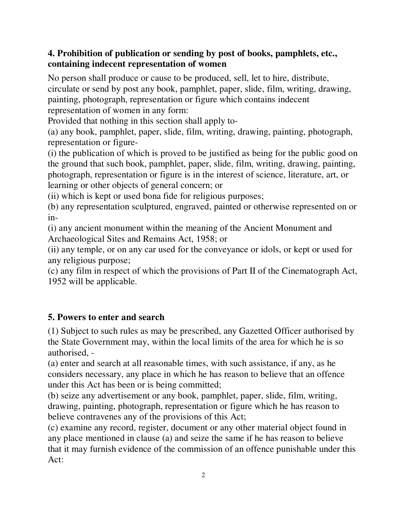### **4. Prohibition of publication or sending by post of books, pamphlets, etc., containing indecent representation of women**

No person shall produce or cause to be produced, sell, let to hire, distribute, circulate or send by post any book, pamphlet, paper, slide, film, writing, drawing, painting, photograph, representation or figure which contains indecent representation of women in any form:

Provided that nothing in this section shall apply to-

(a) any book, pamphlet, paper, slide, film, writing, drawing, painting, photograph, representation or figure-

(i) the publication of which is proved to be justified as being for the public good on the ground that such book, pamphlet, paper, slide, film, writing, drawing, painting, photograph, representation or figure is in the interest of science, literature, art, or learning or other objects of general concern; or

(ii) which is kept or used bona fide for religious purposes;

(b) any representation sculptured, engraved, painted or otherwise represented on or in-

(i) any ancient monument within the meaning of the Ancient Monument and Archaeological Sites and Remains Act, 1958; or

(ii) any temple, or on any car used for the conveyance or idols, or kept or used for any religious purpose;

(c) any film in respect of which the provisions of Part II of the Cinematograph Act, 1952 will be applicable.

# **5. Powers to enter and search**

(1) Subject to such rules as may be prescribed, any Gazetted Officer authorised by the State Government may, within the local limits of the area for which he is so authorised, -

(a) enter and search at all reasonable times, with such assistance, if any, as he considers necessary, any place in which he has reason to believe that an offence under this Act has been or is being committed;

(b) seize any advertisement or any book, pamphlet, paper, slide, film, writing, drawing, painting, photograph, representation or figure which he has reason to believe contravenes any of the provisions of this Act;

(c) examine any record, register, document or any other material object found in any place mentioned in clause (a) and seize the same if he has reason to believe that it may furnish evidence of the commission of an offence punishable under this Act: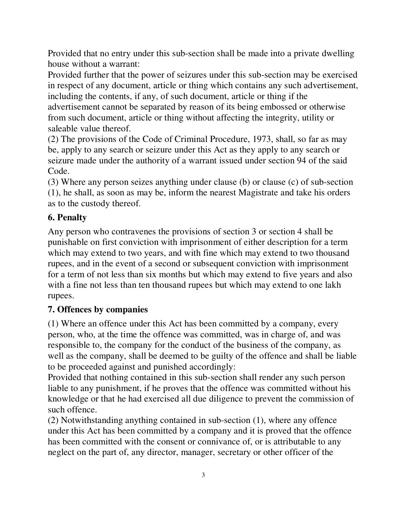Provided that no entry under this sub-section shall be made into a private dwelling house without a warrant:

Provided further that the power of seizures under this sub-section may be exercised in respect of any document, article or thing which contains any such advertisement, including the contents, if any, of such document, article or thing if the advertisement cannot be separated by reason of its being embossed or otherwise from such document, article or thing without affecting the integrity, utility or saleable value thereof.

(2) The provisions of the Code of Criminal Procedure, 1973, shall, so far as may be, apply to any search or seizure under this Act as they apply to any search or seizure made under the authority of a warrant issued under section 94 of the said Code.

(3) Where any person seizes anything under clause (b) or clause (c) of sub-section (1), he shall, as soon as may be, inform the nearest Magistrate and take his orders as to the custody thereof.

## **6. Penalty**

Any person who contravenes the provisions of section 3 or section 4 shall be punishable on first conviction with imprisonment of either description for a term which may extend to two years, and with fine which may extend to two thousand rupees, and in the event of a second or subsequent conviction with imprisonment for a term of not less than six months but which may extend to five years and also with a fine not less than ten thousand rupees but which may extend to one lakh rupees.

## **7. Offences by companies**

(1) Where an offence under this Act has been committed by a company, every person, who, at the time the offence was committed, was in charge of, and was responsible to, the company for the conduct of the business of the company, as well as the company, shall be deemed to be guilty of the offence and shall be liable to be proceeded against and punished accordingly:

Provided that nothing contained in this sub-section shall render any such person liable to any punishment, if he proves that the offence was committed without his knowledge or that he had exercised all due diligence to prevent the commission of such offence.

(2) Notwithstanding anything contained in sub-section (1), where any offence under this Act has been committed by a company and it is proved that the offence has been committed with the consent or connivance of, or is attributable to any neglect on the part of, any director, manager, secretary or other officer of the